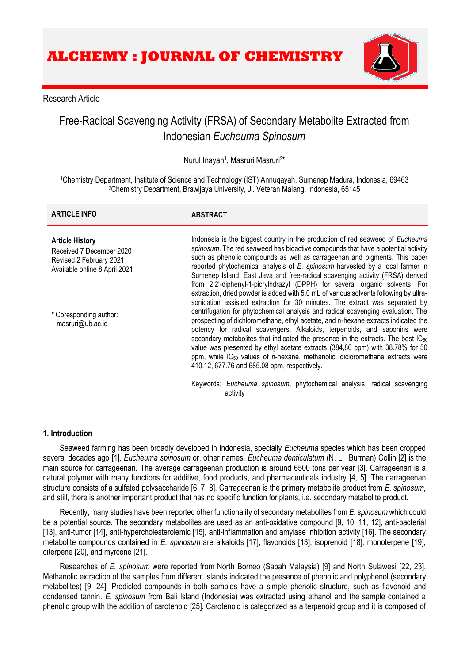

## Research Article

# Free-Radical Scavenging Activity (FRSA) of Secondary Metabolite Extracted from Indonesian *Eucheuma Spinosum*

Nurul Inayah<sup>1</sup>, Masruri Masruri<sup>2\*</sup>

<sup>1</sup>Chemistry Department, Institute of Science and Technology (IST) Annuqayah, Sumenep Madura, Indonesia, 69463 <sup>2</sup>Chemistry Department, Brawijaya University, Jl. Veteran Malang, Indonesia, 65145

| <b>ARTICLE INFO</b>                                                                                            | <b>ABSTRACT</b>                                                                                                                                                                                                                                                                                                                                                                                                                                                                                                                                                                                                                                                |
|----------------------------------------------------------------------------------------------------------------|----------------------------------------------------------------------------------------------------------------------------------------------------------------------------------------------------------------------------------------------------------------------------------------------------------------------------------------------------------------------------------------------------------------------------------------------------------------------------------------------------------------------------------------------------------------------------------------------------------------------------------------------------------------|
| <b>Article History</b><br>Received 7 December 2020<br>Revised 2 February 2021<br>Available online 8 April 2021 | Indonesia is the biggest country in the production of red seaweed of Eucheuma<br>spinosum. The red seaweed has bioactive compounds that have a potential activity<br>such as phenolic compounds as well as carrageenan and pigments. This paper<br>reported phytochemical analysis of E. spinosum harvested by a local farmer in<br>Sumenep Island, East Java and free-radical scavenging activity (FRSA) derived<br>from 2,2'-diphenyl-1-picrylhdrazyl (DPPH) for several organic solvents. For<br>extraction, dried powder is added with 5.0 mL of various solvents following by ultra-                                                                      |
| * Coresponding author:<br>masruri@ub.ac.id                                                                     | sonication assisted extraction for 30 minutes. The extract was separated by<br>centrifugation for phytochemical analysis and radical scavenging evaluation. The<br>prospecting of dichloromethane, ethyl acetate, and n-hexane extracts indicated the<br>potency for radical scavengers. Alkaloids, terpenoids, and saponins were<br>secondary metabolites that indicated the presence in the extracts. The best IC <sub>50</sub><br>value was presented by ethyl acetate extracts (384,86 ppm) with 38.78% for 50<br>ppm, while IC <sub>50</sub> values of n-hexane, methanolic, dicloromethane extracts were<br>410.12, 677.76 and 685.08 ppm, respectively. |
|                                                                                                                | Keywords: Eucheuma spinosum, phytochemical analysis, radical scavenging<br>activity                                                                                                                                                                                                                                                                                                                                                                                                                                                                                                                                                                            |

## **1. Introduction**

Seaweed farming has been broadly developed in Indonesia, specially *Eucheuma* species which has been cropped several decades ago [1]. *Eucheuma spinosum* or, other names, *Eucheuma denticulatum* (N. L. Burman) Collin [2] is the main source for carrageenan. The average carrageenan production is around 6500 tons per year [3]. Carrageenan is a natural polymer with many functions for additive, food products, and pharmaceuticals industry [4, 5]. The carrageenan structure consists of a sulfated polysaccharide [6, 7, 8]. Carrageenan is the primary metabolite product from *E. spinosum*, and still, there is another important product that has no specific function for plants, i.e. secondary metabolite product.

Recently, many studies have been reported other functionality of secondary metabolites from *E. spinosum* which could be a potential source. The secondary metabolites are used as an anti-oxidative compound [9, 10, 11, 12], anti-bacterial [13], anti-tumor [14], anti-hypercholesterolemic [15], anti-inflammation and amylase inhibition activity [16]. The secondary metabolite compounds contained in *E. spinosum* are alkaloids [17], flavonoids [13], isoprenoid [18], monoterpene [19], diterpene [20], and myrcene [21].

Researches of *E. spinosum* were reported from North Borneo (Sabah Malaysia) [9] and North Sulawesi [22, 23]. Methanolic extraction of the samples from different islands indicated the presence of phenolic and polyphenol (secondary metabolites) [9, 24]. Predicted compounds in both samples have a simple phenolic structure, such as flavonoid and condensed tannin. *E. spinosum* from Bali Island (Indonesia) was extracted using ethanol and the sample contained a phenolic group with the addition of carotenoid [25]. Carotenoid is categorized as a terpenoid group and it is composed of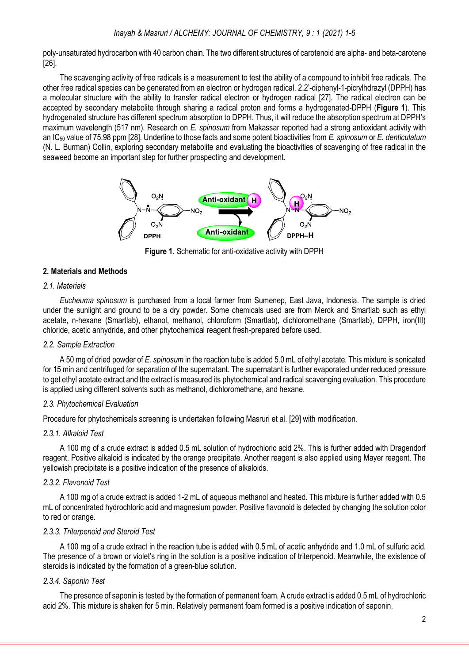poly-unsaturated hydrocarbon with 40 carbon chain. The two different structures of carotenoid are alpha- and beta-carotene [26].

The scavenging activity of free radicals is a measurement to test the ability of a compound to inhibit free radicals. The other free radical species can be generated from an electron or hydrogen radical. 2,2'-diphenyl-1-picrylhdrazyl (DPPH) has a molecular structure with the ability to transfer radical electron or hydrogen radical [27]. The radical electron can be accepted by secondary metabolite through sharing a radical proton and forms a hydrogenated-DPPH (**Figure 1**). This hydrogenated structure has different spectrum absorption to DPPH. Thus, it will reduce the absorption spectrum at DPPH's maximum wavelength (517 nm). Research on *E. spinosum* from Makassar reported had a strong antioxidant activity with an IC<sup>50</sup> value of 75.98 ppm [28]. Underline to those facts and some potent bioactivities from *E. spinosum* or *E. denticulatum*  (N. L. Burman) Collin, exploring secondary metabolite and evaluating the bioactivities of scavenging of free radical in the seaweed become an important step for further prospecting and development.



**Figure 1**. Schematic for anti-oxidative activity with DPPH

## **2. Materials and Methods**

## *2.1. Materials*

*Eucheuma spinosum* is purchased from a local farmer from Sumenep, East Java, Indonesia. The sample is dried under the sunlight and ground to be a dry powder. Some chemicals used are from Merck and Smartlab such as ethyl acetate, n-hexane (Smartlab), ethanol, methanol, chloroform (Smartlab), dichloromethane (Smartlab), DPPH, iron(III) chloride, acetic anhydride, and other phytochemical reagent fresh-prepared before used.

## *2.2. Sample Extraction*

A 50 mg of dried powder of *E. spinosum* in the reaction tube is added 5.0 mL of ethyl acetate. This mixture is sonicated for 15 min and centrifuged for separation of the supernatant. The supernatant is further evaporated under reduced pressure to get ethyl acetate extract and the extract is measured its phytochemical and radical scavenging evaluation. This procedure is applied using different solvents such as methanol, dichloromethane, and hexane.

## *2.3. Phytochemical Evaluation*

Procedure for phytochemicals screening is undertaken following Masruri et al. [29] with modification.

## *2.3.1. Alkaloid Test*

A 100 mg of a crude extract is added 0.5 mL solution of hydrochloric acid 2%. This is further added with Dragendorf reagent. Positive alkaloid is indicated by the orange precipitate. Another reagent is also applied using Mayer reagent. The yellowish precipitate is a positive indication of the presence of alkaloids.

## *2.3.2. Flavonoid Test*

A 100 mg of a crude extract is added 1-2 mL of aqueous methanol and heated. This mixture is further added with 0.5 mL of concentrated hydrochloric acid and magnesium powder. Positive flavonoid is detected by changing the solution color to red or orange.

## *2.3.3. Triterpenoid and Steroid Test*

A 100 mg of a crude extract in the reaction tube is added with 0.5 mL of acetic anhydride and 1.0 mL of sulfuric acid. The presence of a brown or violet's ring in the solution is a positive indication of triterpenoid. Meanwhile, the existence of steroids is indicated by the formation of a green-blue solution.

## *2.3.4. Saponin Test*

The presence of saponin is tested by the formation of permanent foam. A crude extract is added 0.5 mL of hydrochloric acid 2%. This mixture is shaken for 5 min. Relatively permanent foam formed is a positive indication of saponin.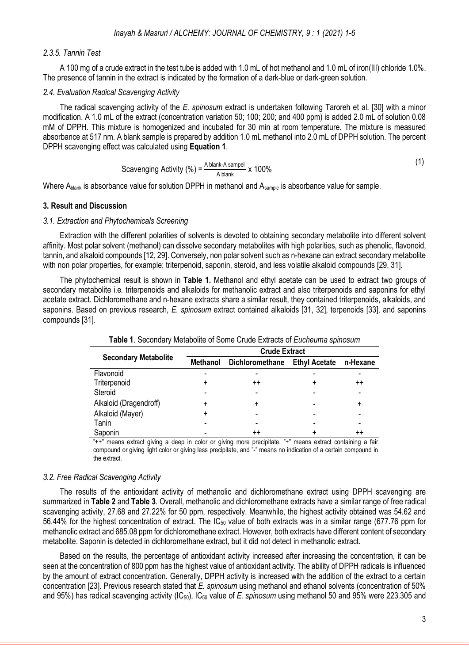## *2.3.5. Tannin Test*

A 100 mg of a crude extract in the test tube is added with 1.0 mL of hot methanol and 1.0 mL of iron(III) chloride 1.0%. The presence of tannin in the extract is indicated by the formation of a dark-blue or dark-green solution.

## *2.4. Evaluation Radical Scavenging Activity*

The radical scavenging activity of the *E. spinosum* extract is undertaken following Taroreh et al. [30] with a minor modification. A 1.0 mL of the extract (concentration variation 50; 100; 200; and 400 ppm) is added 2.0 mL of solution 0.08 mM of DPPH. This mixture is homogenized and incubated for 30 min at room temperature. The mixture is measured absorbance at 517 nm. A blank sample is prepared by addition 1.0 mL methanol into 2.0 mL of DPPH solution. The percent DPPH scavenging effect was calculated using **Equation 1**.

Scavenging Activity (%) = 
$$
\frac{\text{A blank-A sample}}{\text{A blank}} \times 100\%
$$

Where Ablank is absorbance value for solution DPPH in methanol and Asample is absorbance value for sample.

## **3. Result and Discussion**

#### *3.1. Extraction and Phytochemicals Screening*

Extraction with the different polarities of solvents is devoted to obtaining secondary metabolite into different solvent affinity. Most polar solvent (methanol) can dissolve secondary metabolites with high polarities, such as phenolic, flavonoid, tannin, and alkaloid compounds [12, 29]. Conversely, non polar solvent such as n-hexane can extract secondary metabolite with non polar properties, for example; triterpenoid, saponin, steroid, and less volatile alkaloid compounds [29, 31].

The phytochemical result is shown in **Table 1.** Methanol and ethyl acetate can be used to extract two groups of secondary metabolite i.e. triterpenoids and alkaloids for methanolic extract and also triterpenoids and saponins for ethyl acetate extract. Dichloromethane and n-hexane extracts share a similar result, they contained triterpenoids, alkaloids, and saponins. Based on previous research, *E. spinosum* extract contained alkaloids [31, 32], terpenoids [33], and saponins compounds [31].

|                             | <b>Crude Extract</b> |                 |                      |                 |  |  |  |
|-----------------------------|----------------------|-----------------|----------------------|-----------------|--|--|--|
| <b>Secondary Metabolite</b> | Methanol             | Dichloromethane | <b>Ethyl Acetate</b> | n-Hexane        |  |  |  |
| Flavonoid                   |                      |                 |                      |                 |  |  |  |
| Triterpenoid                | +                    | $^{++}$         |                      | $^{\mathrm{+}}$ |  |  |  |
| Steroid                     |                      |                 |                      |                 |  |  |  |
| Alkaloid (Dragendroff)      |                      |                 |                      | ٠               |  |  |  |
| Alkaloid (Mayer)            | ÷                    |                 |                      |                 |  |  |  |
| Tanin                       |                      |                 |                      |                 |  |  |  |
| Saponin                     |                      | $^{++}$         |                      | $^{\mathrm{+}}$ |  |  |  |

| Table 1. Secondary Metabolite of Some Crude Extracts of Eucheuma spinosum |  |
|---------------------------------------------------------------------------|--|
|---------------------------------------------------------------------------|--|

"++" means extract giving a deep in color or giving more precipitate, "+" means extract containing a fair compound or giving light color or giving less precipitate, and "-" means no indication of a certain compound in the extract.

## *3.2. Free Radical Scavenging Activity*

The results of the antioxidant activity of methanolic and dichloromethane extract using DPPH scavenging are summarized in **Table 2** and **Table 3**. Overall, methanolic and dichloromethane extracts have a similar range of free radical scavenging activity, 27.68 and 27.22% for 50 ppm, respectively. Meanwhile, the highest activity obtained was 54.62 and 56.44% for the highest concentration of extract. The  $IC_{50}$  value of both extracts was in a similar range (677.76 ppm for methanolic extract and 685.08 ppmfor dichloromethane extract. However, both extracts have different content of secondary metabolite. Saponin is detected in dichloromethane extract, but it did not detect in methanolic extract.

Based on the results, the percentage of antioxidant activity increased after increasing the concentration, it can be seen at the concentration of 800 ppm has the highest value of antioxidant activity. The ability of DPPH radicals is influenced by the amount of extract concentration. Generally, DPPH activity is increased with the addition of the extract to a certain concentration [23]. Previous research stated that *E. spinosum* using methanol and ethanol solvents (concentration of 50% and 95%) has radical scavenging activity (IC50), IC<sup>50</sup> value of *E. spinosum* using methanol 50 and 95% were 223.305 and

 $(1)$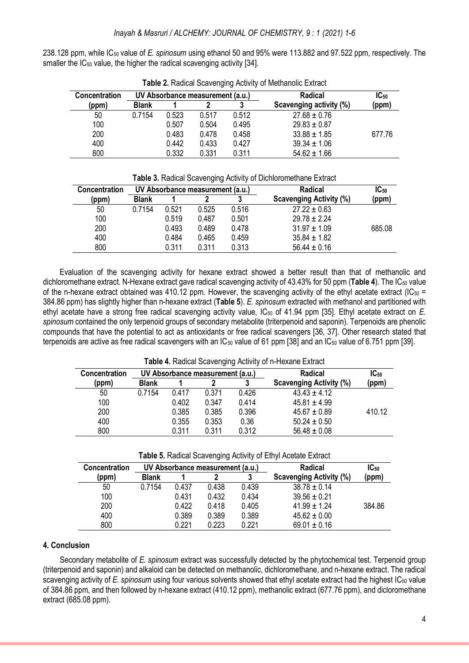238.128 ppm, while IC<sup>50</sup> value of *E. spinosum* using ethanol 50 and 95% were 113.882 and 97.522 ppm, respectively. The smaller the IC<sub>50</sub> value, the higher the radical scavenging activity [34].

|                      |              |       |                                  |       | $\frac{1}{2}$ and $\frac{1}{2}$ and $\frac{1}{2}$ and $\frac{1}{2}$ and $\frac{1}{2}$ and $\frac{1}{2}$ and $\frac{1}{2}$ and $\frac{1}{2}$ and $\frac{1}{2}$ |           |
|----------------------|--------------|-------|----------------------------------|-------|---------------------------------------------------------------------------------------------------------------------------------------------------------------|-----------|
| <b>Concentration</b> |              |       | UV Absorbance measurement (a.u.) |       | Radical                                                                                                                                                       | $IC_{50}$ |
| (ppm)                | <b>Blank</b> |       |                                  |       | Scavenging activity (%)                                                                                                                                       | (ppm)     |
| 50                   | 0.7154       | 0.523 | 0.517                            | 0.512 | $27.68 \pm 0.76$                                                                                                                                              |           |
| 100                  |              | 0.507 | 0.504                            | 0.495 | $29.83 \pm 0.87$                                                                                                                                              |           |
| 200                  |              | 0.483 | 0.478                            | 0.458 | $33.88 \pm 1.85$                                                                                                                                              | 677.76    |
| 400                  |              | 0.442 | 0.433                            | 0.427 | $39.34 \pm 1.06$                                                                                                                                              |           |
| 800                  |              | 0.332 | 0.331                            | 0.311 | $54.62 \pm 1.66$                                                                                                                                              |           |

**Table 2.** Radical Scavenging Activity of Methanolic Extract

|  | Table 3. Radical Scavenging Activity of Dichloromethane Extract |  |  |
|--|-----------------------------------------------------------------|--|--|
|  |                                                                 |  |  |

| <b>Concentration</b> |              |       | UV Absorbance measurement (a.u.) |       | Radical                        | $IC_{50}$ |
|----------------------|--------------|-------|----------------------------------|-------|--------------------------------|-----------|
| (ppm)                | <b>Blank</b> |       |                                  |       | <b>Scavenging Activity (%)</b> | (ppm)     |
| 50                   | 0.7154       | 0.521 | 0.525                            | 0.516 | $27.22 \pm 0.63$               |           |
| 100                  |              | 0.519 | 0.487                            | 0.501 | $29.78 \pm 2.24$               |           |
| 200                  |              | 0.493 | 0.489                            | 0.478 | $31.97 \pm 1.09$               | 685.08    |
| 400                  |              | 0.484 | 0.465                            | 0.459 | $35.84 \pm 1.82$               |           |
| 800                  |              | 0.311 | 0.311                            | 0.313 | $56.44 \pm 0.16$               |           |

Evaluation of the scavenging activity for hexane extract showed a better result than that of methanolic and dichloromethane extract. N-Hexane extract gave radical scavenging activity of 43.43% for 50 ppm (Table 4). The IC<sub>50</sub> value of the n-hexane extract obtained was 410.12 ppm. However, the scavenging activity of the ethyl acetate extract ( $IC_{50}$  = 384.86 ppm) has slightly higher than n-hexane extract (**Table 5**). *E. spinosum* extracted with methanol and partitioned with ethyl acetate have a strong free radical scavenging activity value, IC<sup>50</sup> of 41.94 ppm [35]. Ethyl acetate extract on *E. spinosum* contained the only terpenoid groups of secondary metabolite (triterpenoid and saponin). Terpenoids are phenolic compounds that have the potential to act as antioxidants or free radical scavengers [36, 37]. Other research stated that terpenoids are active as free radical scavengers with an  $IC_{50}$  value of 61 ppm [38] and an  $IC_{50}$  value of 6.751 ppm [39].

| <b>Table 4.</b> Radical Scavenging Activity of h-Hexane Extract |              |       |                                  |       |                                |           |  |
|-----------------------------------------------------------------|--------------|-------|----------------------------------|-------|--------------------------------|-----------|--|
| Concentration                                                   |              |       | UV Absorbance measurement (a.u.) |       | <b>Radical</b>                 | $IC_{50}$ |  |
| (ppm)                                                           | <b>Blank</b> |       |                                  |       | <b>Scavenging Activity (%)</b> | (ppm)     |  |
| 50                                                              | 0.7154       | 0.417 | 0.371                            | 0.426 | $43.43 \pm 4.12$               |           |  |
| 100                                                             |              | 0.402 | 0.347                            | 0.414 | $45.81 \pm 4.99$               |           |  |
| 200                                                             |              | 0.385 | 0.385                            | 0.396 | $45.67 \pm 0.89$               | 410.12    |  |
| 400                                                             |              | 0.355 | 0.353                            | 0.36  | $50.24 \pm 0.50$               |           |  |
| 800                                                             |              | 0.311 | 0.311                            | 0.312 | $56.48 \pm 0.08$               |           |  |

**Table 4.** Radical Scavenging Activity of n-Hexane Extract

**Table 5.** Radical Scavenging Activity of Ethyl Acetate Extract

| <b>Concentration</b> | UV Absorbance measurement (a.u.) |       |       |       | Radical                        | $IC_{50}$ |
|----------------------|----------------------------------|-------|-------|-------|--------------------------------|-----------|
| (ppm)                | <b>Blank</b>                     |       |       |       | <b>Scavenging Activity (%)</b> | (ppm)     |
| 50                   | 0.7154                           | 0.437 | 0.438 | 0.439 | $38.78 \pm 0.14$               |           |
| 100                  |                                  | 0.431 | 0.432 | 0.434 | $39.56 \pm 0.21$               |           |
| 200                  |                                  | 0.422 | 0.418 | 0.405 | $41.99 \pm 1.24$               | 384.86    |
| 400                  |                                  | 0.389 | 0.389 | 0.389 | $45.62 \pm 0.00$               |           |
| 800                  |                                  | 0.221 | 0.223 | 0.221 | $69.01 \pm 0.16$               |           |

## **4. Conclusion**

Secondary metabolite of *E. spinosum* extract was successfully detected by the phytochemical test. Terpenoid group (triterpenoid and saponin) and alkaloid can be detected on methanolic, dichloromethane, and n-hexane extract. The radical scavenging activity of *E. spinosum* using four various solvents showed that ethyl acetate extract had the highest IC<sup>50</sup> value of 384.86 ppm, and then followed by n-hexane extract (410.12 ppm), methanolic extract (677.76 ppm), and dicloromethane extract (685.08 ppm).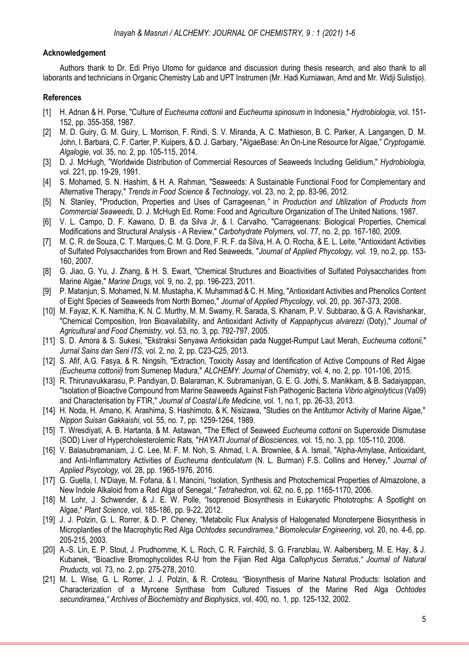## **Acknowledgement**

Authors thank to Dr. Edi Priyo Utomo for guidance and discussion during thesis research, and also thank to all laborants and technicians in Organic Chemistry Lab and UPT Instrumen (Mr. Hadi Kurniawan, Amd and Mr. Widji Sulistijo).

## **References**

- [1] H. Adnan & H. Porse, "Culture of *Eucheuma cottonii* and *Eucheuma spinosum* in Indonesia," *Hydrobiologia*, vol. 151- 152, pp. 355-358, 1987.
- [2] M. D. Guiry, G. M. Guiry, L. Morrison, F. Rindi, S. V. Miranda, A. C. Mathieson, B. C. Parker, A. Langangen, D. M. John, I. Barbara, C. F. Carter, P. Kuipers, & D. J. Garbary, "AlgaeBase: An On-Line Resource for Algae," *Cryptogamie. Algalogie*, vol. 35, no. 2, pp. 105-115, 2014.
- [3] D. J. McHugh, "Worldwide Distribution of Commercial Resources of Seaweeds Including Gelidium," *Hydrobiologia,* vol. 221, pp. 19-29, 1991.
- [4] S. Mohamed, S. N. Hashim, & H. A. Rahman, "Seaweeds: A Sustainable Functional Food for Complementary and Alternative Therapy," *Trends in Food Science & Technology*, vol. 23, no. 2, pp. 83-96, 2012.
- [5] N. Stanley, "Production, Properties and Uses of Carrageenan*,"* in *Production and Utilization of Products from Commercial Seaweeds*, D. J. McHugh Ed. Rome: Food and Agriculture Organization of The United Nations, 1987.
- [6] V. L. Campo, D. F. Kawano, D. B. da Silva Jr, & I. Carvalho, "Carrageenans: Biological Properties, Chemical Modifications and Structural Analysis - A Review," *Carbohydrate Polymers,* vol. 77, no. 2, pp. 167-180, 2009.
- [7] M. C. R. de Souza, C. T. Marques, C. M. G. Dore, F. R. F. da Silva, H. A. O. Rocha, & E. L. Leite, "Antioxidant Activities of Sulfated Polysaccharides from Brown and Red Seaweeds, "*Journal of Applied Phycology,* vol. 19, no.2, pp. 153- 160, 2007.
- [8] G. Jiao, G. Yu, J. Zhang, & H. S. Ewart, "Chemical Structures and Bioactivities of Sulfated Polysaccharides from Marine Algae," *Marine Drugs,* vol. 9, no. 2, pp. 196-223, 2011.
- [9] P. Matanjun, S. Mohamed, N. M. Mustapha, K. Muhammad & C. H. Ming, "Antioxidant Activities and Phenolics Content of Eight Species of Seaweeds from North Borneo," *Journal of Applied Phycology,* vol. 20, pp. 367-373, 2008.
- [10] M. Fayaz, K. K. Namitha, K. N. C. Murthy, M. M. Swamy, R. Sarada, S. Khanam, P. V. Subbarao, & G. A. Ravishankar, "Chemical Composition, Iron Bioavailability, and Antioxidant Activity of *Kappaphycus alvarezzi* (Doty)," *Journal of Agricultural and Food Chemistry,* vol. 53, no. 3, pp. 792-797, 2005.
- [11] S. D. Amora & S. Sukesi, "Ekstraksi Senyawa Antioksidan pada Nugget-Rumput Laut Merah, *Eucheuma cottonii,*" *Jurnal Sains dan Seni ITS*, vol. 2, no. 2, pp. C23-C25, 2013.
- [12] S. Afif, A.G. Fasya, & R. Ningsih, "Extraction, Toxicity Assay and Identification of Active Compouns of Red Algae *(Eucheuma cottonii)* from Sumenep Madura," *ALCHEMY: Journal of Chemistry,* vol. 4, no. 2, pp. 101-106, 2015.
- [13] R. Thirunavukkarasu, P. Pandiyan, D. Balaraman, K. Subramaniyan, G. E. G. Jothi, S. Manikkam, & B. Sadaiyappan, "Isolation of Bioactive Compound from Marine Seaweeds Against Fish Pathogenic Bacteria *Vibrio alginolyticus* (Va09) and Characterisation by FTIR," *Journal of Coastal Life Medicine*, vol. 1, no.1, pp. 26-33, 2013.
- [14] H. Noda, H. Amano, K. Arashima, S. Hashimoto, & K. Nisizawa, "Studies on the Antitumor Activity of Marine Algae," *Nippon Suisan Gakkaishi*, vol. 55, no. 7, pp. 1259-1264, 1989.
- [15] T. Wresdiyati, A. B. Hartanta, & M. Astawan, "The Effect of Seaweed *Eucheuma cottonii* on Superoxide Dismutase (SOD) Liver of Hypercholesterolemic Rats, "*HAYATI Journal of Biosciences,* vol. 15, no. 3, pp. 105-110, 2008.
- [16] V. Balasubramaniam, J. C. Lee, M. F. M. Noh, S. Ahmad, I. A. Brownlee, & A. Ismail, "Alpha-Amylase, Antioxidant, and Anti-Inflammatory Activities of *Eucheuma denticulatum* (N. L. Burman) F.S. Collins and Hervey," *Journal of Applied Psycology,* vol. 28, pp. 1965-1976, 2016.
- [17] G. Guella, I. N'Diaye, M. Fofana, & I. Mancini, "Isolation, Synthesis and Photochemical Properties of Almazolone, a New Indole Alkaloid from a Red Alga of Senegal,*" Tetrahedron*, vol. 62, no. 6, pp. 1165-1170, 2006.
- [18] M. Lohr, J. Schwender, & J. E. W. Polle, "Isoprenoid Biosynthesis in Eukaryotic Phototrophs: A Spotlight on Algae," *Plant Science*, vol. 185-186, pp. 9-22, 2012.
- [19] J. J. Polzin, G. L. Rorrer, & D. P. Cheney, "Metabolic Flux Analysis of Halogenated Monoterpene Biosynthesis in Microplantles of the Macrophytic Red Alga *Ochtodes secundiramea*,*" Biomolecular Engineering*, vol. 20, no. 4-6, pp. 205-215, 2003.
- [20] A.-S. Lin, E. P. Stout, J. Prudhomme, K. L. Roch, C. R. Fairchild, S. G. Franzblau, W. Aalbersberg, M. E. Hay, & J. Kubanek, "Bioactive Bromophycolides R-U from the Fijian Red Alga *Callophycus Serratus*,*" Journal of Natural Pruducts*, vol. 73, no. 2, pp. 275-278, 2010.
- [21] M. L. Wise, G. L. Rorrer, J. J. Polzin, & R. Croteau, "Biosynthesis of Marine Natural Products: Isolation and Characterization of a Myrcene Synthase from Cultured Tissues of the Marine Red Alga *Ochtodes secundiramea*,*" Archives of Biochemistry and Biophysics*, vol. 400, no. 1, pp. 125-132, 2002.